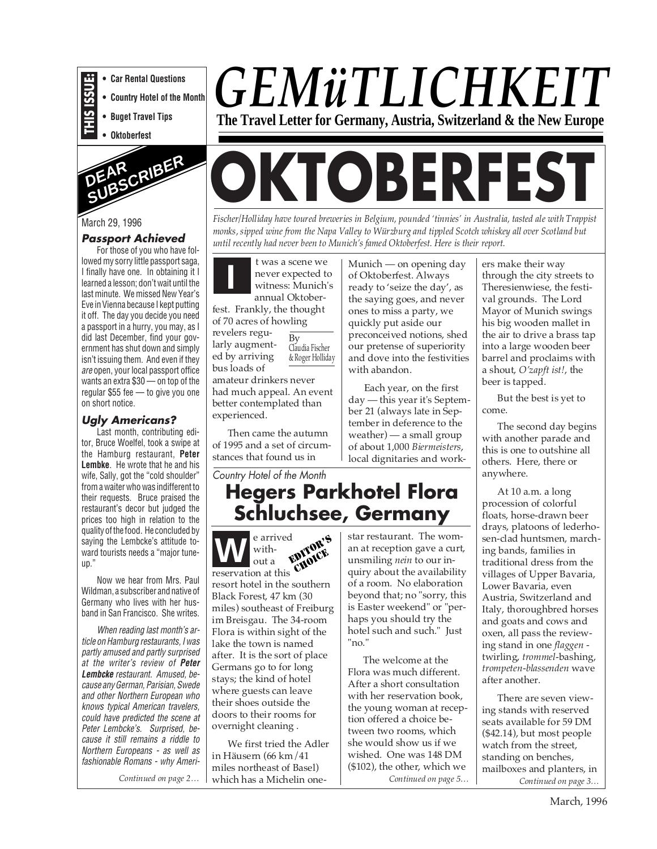- **THIS ISSUE: • Car Rental Questions**
	- **Country Hotel of the Month**
	- **Buget Travel Tips**
	- **Oktoberfest**



#### March 29, 1996

#### **Passport Achieved**

For those of you who have followed my sorry little passport saga, I finally have one. In obtaining it I learned a lesson; don't wait until the last minute. We missed New Year's Eve in Vienna because I kept putting it off. The day you decide you need a passport in a hurry, you may, as I did last December, find your government has shut down and simply isn't issuing them. And even if they are open, your local passport office wants an extra \$30 — on top of the regular \$55 fee — to give you one on short notice.

#### **Ugly Americans?**

Last month, contributing editor, Bruce Woelfel, took a swipe at the Hamburg restaurant, **Peter Lembke**. He wrote that he and his wife, Sally, got the "cold shoulder" from a waiter who was indifferent to their requests. Bruce praised the restaurant's decor but judged the prices too high in relation to the quality of the food. He concluded by saying the Lembcke's attitude toward tourists needs a "major tuneup."

Now we hear from Mrs. Paul Wildman, a subscriber and native of Germany who lives with her husband in San Francisco. She writes.

When reading last month's article on Hamburg restaurants, I was partly amused and partly surprised at the writer's review of **Peter Lembcke** restaurant. Amused, because any German, Parisian, Swede and other Northern European who knows typical American travelers, could have predicted the scene at Peter Lembcke's. Surprised, because it still remains a riddle to Northern Europeans - as well as fashionable Romans - why Ameri-

*Continued on page 2…*

# *GEMüTLICHKEIT* **The Travel Letter for Germany, Austria, Switzerland & the New Europe**

# **OKTOBERFEST**

*Fischer/Holliday have toured breweries in Belgium, pounded 'tinnies' in Australia, tasted ale with Trappist monks, sipped wine from the Napa Valley to Würzburg and tippled Scotch whiskey all over Scotland but until recently had never been to Munich's famed Oktoberfest. Here is their report.*

> Munich — on opening day of Oktoberfest. Always

**I** twas a scene we never expected to witness: Munich's never expected to annual Oktober-

fest. Frankly, the thought of 70 acres of howling revelers regu-

larly augmented by arriving bus loads of By Claudia Fischer & Roger Holliday

amateur drinkers never had much appeal. An event better contemplated than experienced.

Then came the autumn of 1995 and a set of circumstances that found us in

Country Hotel of the Month

### **Hegers Parkhotel Flora Schluchsee, Germany**

"no."

**W** e arrived without a reservation at this resort hotel in the southern Black Forest, 47 km (30 miles) southeast of Freiburg im Breisgau. The 34-room Flora is within sight of the lake the town is named after. It is the sort of place Germans go to for long stays; the kind of hotel where guests can leave their shoes outside the doors to their rooms for overnight cleaning . EDITOR'S CHOICE

We first tried the Adler in Häusern (66 km/41 miles northeast of Basel) which has a Michelin oneready to 'seize the day', as the saying goes, and never ones to miss a party, we quickly put aside our preconceived notions, shed our pretense of superiority and dove into the festivities with abandon.

Each year, on the first day — this year it's September 21 (always late in September in deference to the weather) — a small group of about 1,000 *Biermeisters*, local dignitaries and work-

star restaurant. The woman at reception gave a curt, unsmiling *nein* to our inquiry about the availability of a room. No elaboration beyond that; no "sorry, this is Easter weekend" or "perhaps you should try the hotel such and such." Just

The welcome at the Flora was much different. After a short consultation with her reservation book, the young woman at reception offered a choice between two rooms, which she would show us if we wished. One was 148 DM (\$102), the other, which we

*Continued on page 5…*

ers make their way through the city streets to Theresienwiese, the festival grounds. The Lord Mayor of Munich swings his big wooden mallet in the air to drive a brass tap into a large wooden beer barrel and proclaims with a shout, *O'zapft ist!*, the beer is tapped.

But the best is yet to come.

The second day begins with another parade and this is one to outshine all others. Here, there or anywhere.

At 10 a.m. a long procession of colorful floats, horse-drawn beer drays, platoons of lederhosen-clad huntsmen, marching bands, families in traditional dress from the villages of Upper Bavaria, Lower Bavaria, even Austria, Switzerland and Italy, thoroughbred horses and goats and cows and oxen, all pass the reviewing stand in one *flaggen*  twirling, *trommel*-bashing, *trompeten-blassenden* wave after another.

*Continued on page 3…* There are seven viewing stands with reserved seats available for 59 DM (\$42.14), but most people watch from the street, standing on benches, mailboxes and planters, in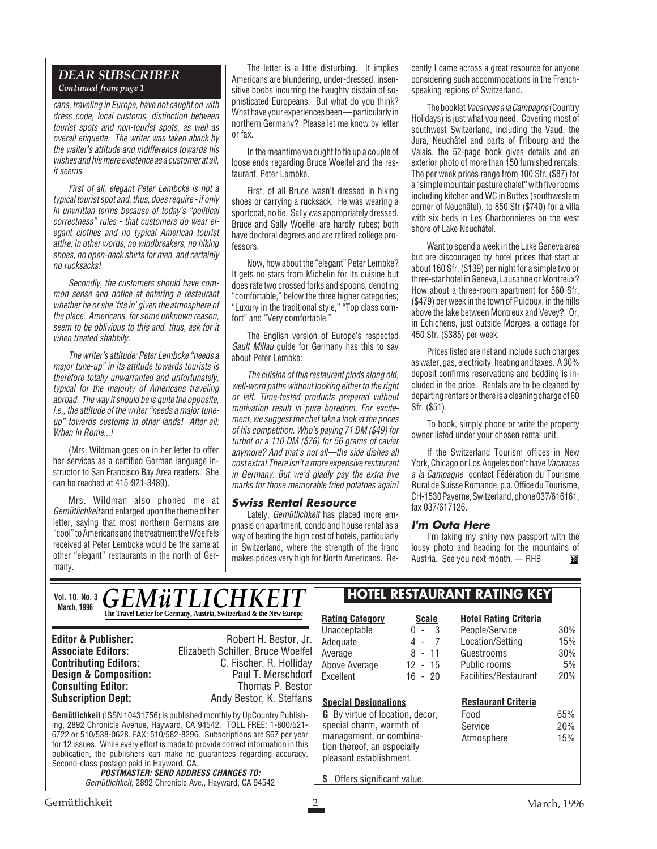#### *DEAR SUBSCRIBER Continued from page 1*

cans, traveling in Europe, have not caught on with dress code, local customs, distinction between tourist spots and non-tourist spots, as well as overall etiquette. The writer was taken aback by the waiter's attitude and indifference towards his wishes and his mere existence as a customer at all, it seems.

First of all, elegant Peter Lembcke is not a typical tourist spot and, thus, does require - if only in unwritten terms because of today's "political correctness" rules - that customers do wear elegant clothes and no typical American tourist attire; in other words, no windbreakers, no hiking shoes, no open-neck shirts for men, and certainly no rucksacks!

Secondly, the customers should have common sense and notice at entering a restaurant whether he or she 'fits in' given the atmosphere of the place. Americans, for some unknown reason, seem to be oblivious to this and, thus, ask for it when treated shabbily.

The writer's attitude: Peter Lembcke "needs a major tune-up" in its attitude towards tourists is therefore totally unwarranted and unfortunately, typical for the majority of Americans traveling abroad. The way it should be is quite the opposite, i.e., the attitude of the writer "needs a major tuneup" towards customs in other lands! After all: When in Rome...!

(Mrs. Wildman goes on in her letter to offer her services as a certified German language instructor to San Francisco Bay Area readers. She can be reached at 415-921-3489).

Mrs. Wildman also phoned me at Gemütlichkeit and enlarged upon the theme of her letter, saying that most northern Germans are "cool" to Americans and the treatment the Woelfels received at Peter Lembcke would be the same at other "elegant" restaurants in the north of Germany.

The letter is a little disturbing. It implies Americans are blundering, under-dressed, insensitive boobs incurring the haughty disdain of sophisticated Europeans. But what do you think? What have your experiences been — particularly in northern Germany? Please let me know by letter or fax.

In the meantime we ought to tie up a couple of loose ends regarding Bruce Woelfel and the restaurant, Peter Lembke.

First, of all Bruce wasn't dressed in hiking shoes or carrying a rucksack. He was wearing a sportcoat, no tie. Sally was appropriately dressed. Bruce and Sally Woelfel are hardly rubes; both have doctoral degrees and are retired college professors.

Now, how about the "elegant" Peter Lembke? It gets no stars from Michelin for its cuisine but does rate two crossed forks and spoons, denoting "comfortable," below the three higher categories; "Luxury in the traditional style," "Top class comfort" and "Very comfortable."

The English version of Europe's respected Gault Millau guide for Germany has this to say about Peter Lembke:

The cuisine of this restaurant plods along old, well-worn paths without looking either to the right or left. Time-tested products prepared without motivation result in pure boredom. For excitement, we suggest the chef take a look at the prices of his competition. Who's paying 71 DM (\$49) for turbot or a 110 DM (\$76) for 56 grams of caviar anymore? And that's not all—the side dishes all cost extra! There isn't a more expensive restaurant in Germany. But we'd gladly pay the extra five marks for those memorable fried potatoes again!

#### **Swiss Rental Resource**

Lately, Gemütlichkeit has placed more emphasis on apartment, condo and house rental as a way of beating the high cost of hotels, particularly in Switzerland, where the strength of the franc makes prices very high for North Americans. Re-

 $\mathbb{R}$ 

cently I came across a great resource for anyone considering such accommodations in the Frenchspeaking regions of Switzerland.

The booklet Vacances a la Campagne (Country Holidays) is just what you need. Covering most of southwest Switzerland, including the Vaud, the Jura, Neuchâtel and parts of Fribourg and the Valais, the 52-page book gives details and an exterior photo of more than 150 furnished rentals. The per week prices range from 100 Sfr. (\$87) for a "simple mountain pasture chalet" with five rooms including kitchen and WC in Buttes (southwestern corner of Neuchâtel), to 850 Sfr (\$740) for a villa with six beds in Les Charbonnieres on the west shore of Lake Neuchâtel.

Want to spend a week in the Lake Geneva area but are discouraged by hotel prices that start at about 160 Sfr. (\$139) per night for a simple two or three-star hotel in Geneva, Lausanne or Montreux? How about a three-room apartment for 560 Sfr. (\$479) per week in the town of Puidoux, in the hills above the lake between Montreux and Vevey? Or, in Echichens, just outside Morges, a cottage for 450 Sfr. (\$385) per week.

Prices listed are net and include such charges as water, gas, electricity, heating and taxes. A 30% deposit confirms reservations and bedding is included in the price. Rentals are to be cleaned by departing renters or there is a cleaning charge of 60 Sfr. (\$51).

To book, simply phone or write the property owner listed under your chosen rental unit.

If the Switzerland Tourism offices in New York, Chicago or Los Angeles don't have Vacances a la Campagne contact Fédération du Tourisme Rural de Suisse Romande, p.a. Office du Tourisme, CH-1530 Payerne, Switzerland, phone 037/616161, fax 037/617126.

#### **I'm Outa Here**

I'm taking my shiny new passport with the lousy photo and heading for the mountains of Austria. See you next month. — RHBM

**Hotel Rating Criteria**

| <b>Editor &amp; Publisher:</b>   | Robert H. Bestor, Jr.             |
|----------------------------------|-----------------------------------|
| <b>Associate Editors:</b>        | Elizabeth Schiller, Bruce Woelfel |
| <b>Contributing Editors:</b>     | C. Fischer, R. Holliday           |
| <b>Design &amp; Composition:</b> | Paul T. Merschdorf                |
| <b>Consulting Editor:</b>        | Thomas P. Bestor                  |

Paul T. Merschdorf **Consulting Editor:** Thomas P. Bestor<br> **Subscription Dept:** Andy Bestor. K. Steffans Andy Bestor, K. Steffans

**Gemütlichkeit** (ISSN 10431756) is published monthly by UpCountry Publishing, 2892 Chronicle Avenue, Hayward, CA 94542. TOLL FREE: 1-800/521- 6722 or 510/538-0628. FAX: 510/582-8296. Subscriptions are \$67 per year for 12 issues. While every effort is made to provide correct information in this publication, the publishers can make no guarantees regarding accuracy. Second-class postage paid in Hayward, CA.

*GEMüTLICHKEIT* **The Travel Letter for Germany, Austria, Switzerland & the New Europe**

**POSTMASTER: SEND ADDRESS CHANGES TO:** Gemütlichkeit, 2892 Chronicle Ave., Hayward, CA 94542

#### **HOTEL RESTAURANT RATING KEY**

| Unacceptable                                                                                                                                                                           | 3<br>$\blacksquare$ | People/Service                                              | 30%               |
|----------------------------------------------------------------------------------------------------------------------------------------------------------------------------------------|---------------------|-------------------------------------------------------------|-------------------|
| Adequate                                                                                                                                                                               | 7<br>4 -            | Location/Setting                                            | 15%               |
| Average                                                                                                                                                                                | 8 - 11              | Guestrooms                                                  | 30%               |
| Above Average                                                                                                                                                                          | $12 - 15$           | Public rooms                                                | 5%                |
| Excellent                                                                                                                                                                              | 16 - 20             | Facilities/Restaurant                                       | 20%               |
| <b>Special Designations</b><br><b>G</b> By virtue of location, decor,<br>special charm, warmth of<br>management, or combina-<br>tion thereof, an especially<br>pleasant establishment. |                     | <b>Restaurant Criteria</b><br>Food<br>Service<br>Atmosphere | 65%<br>20%<br>15% |

**\$** Offers significant value.

**Rating Category Scale**

**Vol. 10, No. 3 March, 1996**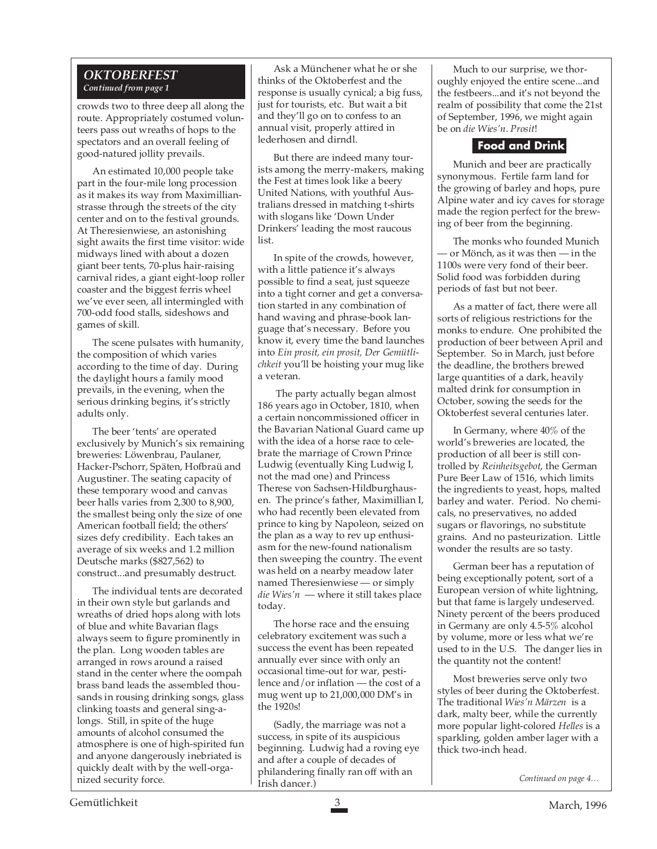#### *OKTOBERFEST Continued from page 1*

crowds two to three deep all along the route. Appropriately costumed volunteers pass out wreaths of hops to the spectators and an overall feeling of good-natured jollity prevails.

An estimated 10,000 people take part in the four-mile long procession as it makes its way from Maximillianstrasse through the streets of the city center and on to the festival grounds. At Theresienwiese, an astonishing sight awaits the first time visitor: wide midways lined with about a dozen giant beer tents, 70-plus hair-raising carnival rides, a giant eight-loop roller coaster and the biggest ferris wheel we've ever seen, all intermingled with 700-odd food stalls, sideshows and games of skill.

The scene pulsates with humanity, the composition of which varies according to the time of day. During the daylight hours a family mood prevails, in the evening, when the serious drinking begins, it's strictly adults only.

The beer 'tents' are operated exclusively by Munich's six remaining breweries: Löwenbrau, Paulaner, Hacker-Pschorr, Späten, Hofbraü and Augustiner. The seating capacity of these temporary wood and canvas beer halls varies from 2,300 to 8,900, the smallest being only the size of one American football field; the others' sizes defy credibility. Each takes an average of six weeks and 1.2 million Deutsche marks (\$827,562) to construct...and presumably destruct.

The individual tents are decorated in their own style but garlands and wreaths of dried hops along with lots of blue and white Bavarian flags always seem to figure prominently in the plan. Long wooden tables are arranged in rows around a raised stand in the center where the oompah brass band leads the assembled thousands in rousing drinking songs, glass clinking toasts and general sing-alongs. Still, in spite of the huge amounts of alcohol consumed the atmosphere is one of high-spirited fun and anyone dangerously inebriated is quickly dealt with by the well-organized security force.

Ask a Münchener what he or she thinks of the Oktoberfest and the response is usually cynical; a big fuss, just for tourists, etc. But wait a bit and they'll go on to confess to an annual visit, properly attired in lederhosen and dirndl.

But there are indeed many tourists among the merry-makers, making the Fest at times look like a beery United Nations, with youthful Australians dressed in matching t-shirts with slogans like 'Down Under Drinkers' leading the most raucous list.

In spite of the crowds, however, with a little patience it's always possible to find a seat, just squeeze into a tight corner and get a conversation started in any combination of hand waving and phrase-book language that's necessary. Before you know it, every time the band launches into *Ein prosit, ein prosit, Der Gemütlichkeit* you'll be hoisting your mug like a veteran.

 The party actually began almost 186 years ago in October, 1810, when a certain noncommissioned officer in the Bavarian National Guard came up with the idea of a horse race to celebrate the marriage of Crown Prince Ludwig (eventually King Ludwig I, not the mad one) and Princess Therese von Sachsen-Hildburghausen. The prince's father, Maximillian I, who had recently been elevated from prince to king by Napoleon, seized on the plan as a way to rev up enthusiasm for the new-found nationalism then sweeping the country. The event was held on a nearby meadow later named Theresienwiese — or simply *die Wies'n* — where it still takes place today.

The horse race and the ensuing celebratory excitement was such a success the event has been repeated annually ever since with only an occasional time-out for war, pestilence and/or inflation — the cost of a mug went up to 21,000,000 DM's in the 1920s!

(Sadly, the marriage was not a success, in spite of its auspicious beginning. Ludwig had a roving eye and after a couple of decades of philandering finally ran off with an Irish dancer.)

Much to our surprise, we thoroughly enjoyed the entire scene...and the festbeers...and it's not beyond the realm of possibility that come the 21st of September, 1996, we might again be on *die Wies'n*. *Prosit*!

#### **Food and Drink**

Munich and beer are practically synonymous. Fertile farm land for the growing of barley and hops, pure Alpine water and icy caves for storage made the region perfect for the brewing of beer from the beginning.

The monks who founded Munich — or Mönch, as it was then — in the 1100s were very fond of their beer. Solid food was forbidden during periods of fast but not beer.

As a matter of fact, there were all sorts of religious restrictions for the monks to endure. One prohibited the production of beer between April and September. So in March, just before the deadline, the brothers brewed large quantities of a dark, heavily malted drink for consumption in October, sowing the seeds for the Oktoberfest several centuries later.

In Germany, where 40% of the world's breweries are located, the production of all beer is still controlled by *Reinheitsgebot*, the German Pure Beer Law of 1516, which limits the ingredients to yeast, hops, malted barley and water. Period. No chemicals, no preservatives, no added sugars or flavorings, no substitute grains. And no pasteurization. Little wonder the results are so tasty.

German beer has a reputation of being exceptionally potent, sort of a European version of white lightning, but that fame is largely undeserved. Ninety percent of the beers produced in Germany are only 4.5-5% alcohol by volume, more or less what we're used to in the U.S. The danger lies in the quantity not the content!

Most breweries serve only two styles of beer during the Oktoberfest. The traditional *Wies'n Märzen* is a dark, malty beer, while the currently more popular light-colored *Helles* is a sparkling, golden amber lager with a thick two-inch head.

*Continued on page 4…*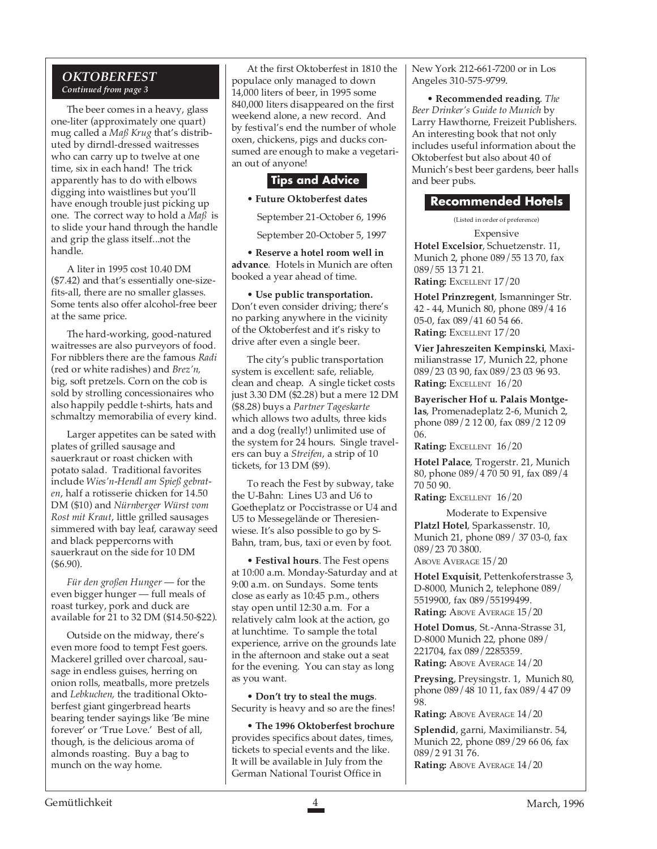#### *OKTOBERFEST Continued from page 3*

The beer comes in a heavy, glass one-liter (approximately one quart) mug called a *Maß Krug* that's distributed by dirndl-dressed waitresses who can carry up to twelve at one time, six in each hand! The trick apparently has to do with elbows digging into waistlines but you'll have enough trouble just picking up one. The correct way to hold a *Maß* is to slide your hand through the handle and grip the glass itself...not the handle.

A liter in 1995 cost 10.40 DM (\$7.42) and that's essentially one-sizefits-all, there are no smaller glasses. Some tents also offer alcohol-free beer at the same price.

The hard-working, good-natured waitresses are also purveyors of food. For nibblers there are the famous *Radi* (red or white radishes) and *Brez'n,* big, soft pretzels. Corn on the cob is sold by strolling concessionaires who also happily peddle t-shirts, hats and schmaltzy memorabilia of every kind.

Larger appetites can be sated with plates of grilled sausage and sauerkraut or roast chicken with potato salad. Traditional favorites include *Wies'n-Hendl am Spieß gebraten*, half a rotisserie chicken for 14.50 DM (\$10) and *Nürnberger Würst vom Rost mit Kraut*, little grilled sausages simmered with bay leaf, caraway seed and black peppercorns with sauerkraut on the side for 10 DM (\$6.90).

*Für den großen Hunger* — for the even bigger hunger — full meals of roast turkey, pork and duck are available for 21 to 32 DM (\$14.50-\$22).

Outside on the midway, there's even more food to tempt Fest goers. Mackerel grilled over charcoal, sausage in endless guises, herring on onion rolls, meatballs, more pretzels and *Lebkuchen,* the traditional Oktoberfest giant gingerbread hearts bearing tender sayings like 'Be mine forever' or 'True Love.' Best of all, though, is the delicious aroma of almonds roasting. Buy a bag to munch on the way home.

At the first Oktoberfest in 1810 the populace only managed to down 14,000 liters of beer, in 1995 some 840,000 liters disappeared on the first weekend alone, a new record. And by festival's end the number of whole oxen, chickens, pigs and ducks consumed are enough to make a vegetarian out of anyone!

#### **Tips and Advice**

• **Future Oktoberfest dates**

September 21-October 6, 1996

September 20-October 5, 1997

• **Reserve a hotel room well in advance**. Hotels in Munich are often booked a year ahead of time.

• **Use public transportation.** Don't even consider driving; there's no parking anywhere in the vicinity of the Oktoberfest and it's risky to drive after even a single beer.

The city's public transportation system is excellent: safe, reliable, clean and cheap. A single ticket costs just 3.30 DM (\$2.28) but a mere 12 DM (\$8.28) buys a *Partner Tageskarte* which allows two adults, three kids and a dog (really!) unlimited use of the system for 24 hours. Single travelers can buy a *Streifen*, a strip of 10 tickets, for 13 DM (\$9).

To reach the Fest by subway, take the U-Bahn: Lines U3 and U6 to Goetheplatz or Poccistrasse or U4 and U5 to Messegelände or Theresienwiese. It's also possible to go by S-Bahn, tram, bus, taxi or even by foot.

• **Festival hours**. The Fest opens at 10:00 a.m. Monday-Saturday and at 9:00 a.m. on Sundays. Some tents close as early as 10:45 p.m., others stay open until 12:30 a.m. For a relatively calm look at the action, go at lunchtime. To sample the total experience, arrive on the grounds late in the afternoon and stake out a seat for the evening. You can stay as long as you want.

• **Don't try to steal the mugs**. Security is heavy and so are the fines!

• **The 1996 Oktoberfest brochure** provides specifics about dates, times, tickets to special events and the like. It will be available in July from the German National Tourist Office in

New York 212-661-7200 or in Los Angeles 310-575-9799.

• **Recommended reading**. *The Beer Drinker's Guide to Munich* by Larry Hawthorne, Freizeit Publishers. An interesting book that not only includes useful information about the Oktoberfest but also about 40 of Munich's best beer gardens, beer halls and beer pubs.

#### **Recommended Hotels**

(Listed in order of preference)

Expensive **Hotel Excelsior**, Schuetzenstr. 11, Munich 2, phone 089/55 13 70, fax 089/55 13 71 21. **Rating:** EXCELLENT 17/20

**Hotel Prinzregent**, Ismanninger Str. 42 - 44, Munich 80, phone 089/4 16 05-0, fax 089/41 60 54 66. **Rating:** EXCELLENT 17/20

**Vier Jahreszeiten Kempinski**, Maximilianstrasse 17, Munich 22, phone 089/23 03 90, fax 089/23 03 96 93. **Rating: EXCELLENT 16/20** 

**Bayerischer Hof u. Palais Montgelas**, Promenadeplatz 2-6, Munich 2, phone 089/2 12 00, fax 089/2 12 09 06.

**Rating:** EXCELLENT 16/20

**Hotel Palace**, Trogerstr. 21, Munich 80, phone 089/4 70 50 91, fax 089/4 70 50 90.

**Rating: EXCELLENT 16/20** 

Moderate to Expensive **Platzl Hotel**, Sparkassenstr. 10, Munich 21, phone 089/ 37 03-0, fax 089/23 70 3800. ABOVE AVERAGE 15/20

**Hotel Exquisit**, Pettenkoferstrasse 3, D-8000, Munich 2, telephone 089/ 5519900, fax 089/55199499. **Rating: ABOVE AVERAGE 15/20** 

**Hotel Domus**, St.-Anna-Strasse 31, D-8000 Munich 22, phone 089/ 221704, fax 089/2285359. **Rating: ABOVE AVERAGE 14/20** 

**Preysing**, Preysingstr. 1, Munich 80, phone 089/48 10 11, fax 089/4 47 09 98.

**Rating: ABOVE AVERAGE 14/20** 

**Splendid**, garni, Maximilianstr. 54, Munich 22, phone 089/29 66 06, fax 089/2 91 31 76. **Rating: ABOVE AVERAGE 14/20**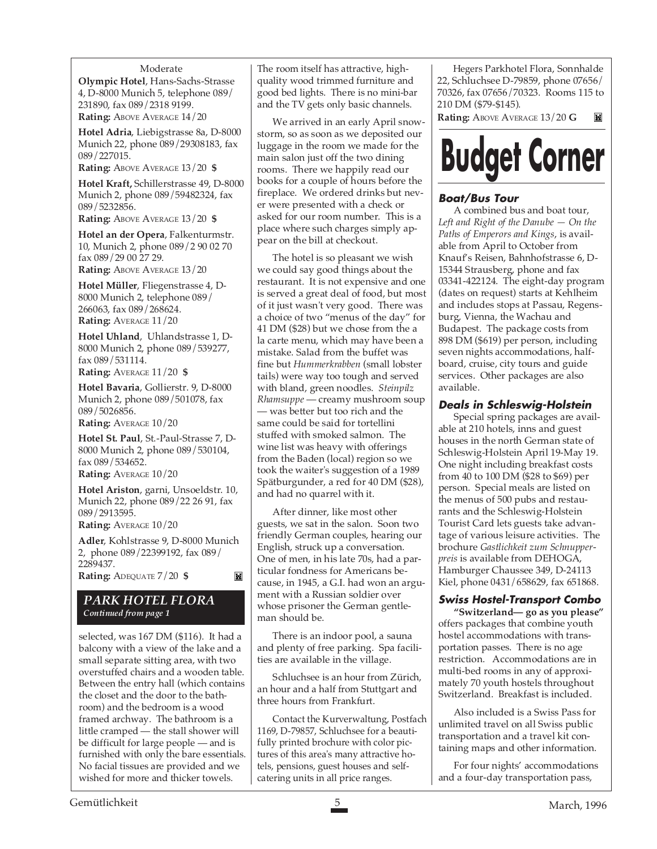#### Moderate

**Olympic Hotel**, Hans-Sachs-Strasse 4, D-8000 Munich 5, telephone 089/ 231890, fax 089/2318 9199. **Rating: ABOVE AVERAGE 14/20** 

**Hotel Adria**, Liebigstrasse 8a, D-8000 Munich 22, phone 089/29308183, fax 089/227015.

**Rating:** ABOVE AVERAGE 13/20 **\$**

**Hotel Kraft,** Schillerstrasse 49, D-8000 Munich 2, phone 089/59482324, fax 089/5232856.

**Rating:** ABOVE AVERAGE 13/20 **\$**

**Hotel an der Opera**, Falkenturmstr. 10, Munich 2, phone 089/2 90 02 70 fax 089/29 00 27 29.

**Rating: ABOVE AVERAGE 13/20** 

**Hotel Müller**, Fliegenstrasse 4, D-8000 Munich 2, telephone 089/ 266063, fax 089/268624. **Rating:** AVERAGE 11/20

**Hotel Uhland**, Uhlandstrasse 1, D-8000 Munich 2, phone 089/539277, fax 089/531114.

**Rating:** AVERAGE 11/20 **\$**

**Hotel Bavaria**, Gollierstr. 9, D-8000 Munich 2, phone 089/501078, fax 089/5026856.

**Rating:** AVERAGE 10/20

**Hotel St. Paul**, St.-Paul-Strasse 7, D-8000 Munich 2, phone 089/530104, fax 089/534652.

**Rating:** AVERAGE 10/20

**Hotel Ariston**, garni, Unsoeldstr. 10, Munich 22, phone 089/22 26 91, fax 089/2913595.

**Rating:** AVERAGE 10/20

**Adler**, Kohlstrasse 9, D-8000 Munich 2, phone 089/22399192, fax 089/ 2289437. **Rating:** ADEQUATE 7/20 **\$** M

*PARK HOTEL FLORA Continued from page 1*

selected, was 167 DM (\$116). It had a balcony with a view of the lake and a small separate sitting area, with two overstuffed chairs and a wooden table. Between the entry hall (which contains the closet and the door to the bathroom) and the bedroom is a wood framed archway. The bathroom is a little cramped — the stall shower will be difficult for large people — and is furnished with only the bare essentials. No facial tissues are provided and we wished for more and thicker towels.

The room itself has attractive, highquality wood trimmed furniture and good bed lights. There is no mini-bar and the TV gets only basic channels.

We arrived in an early April snowstorm, so as soon as we deposited our luggage in the room we made for the main salon just off the two dining rooms. There we happily read our books for a couple of hours before the fireplace. We ordered drinks but never were presented with a check or asked for our room number. This is a place where such charges simply appear on the bill at checkout.

The hotel is so pleasant we wish we could say good things about the restaurant. It is not expensive and one is served a great deal of food, but most of it just wasn't very good. There was a choice of two "menus of the day" for 41 DM (\$28) but we chose from the a la carte menu, which may have been a mistake. Salad from the buffet was fine but *Hummerkrabben* (small lobster tails) were way too tough and served with bland, green noodles. *Steinpilz Rhamsuppe* — creamy mushroom soup — was better but too rich and the same could be said for tortellini stuffed with smoked salmon. The wine list was heavy with offerings from the Baden (local) region so we took the waiter's suggestion of a 1989 Spätburgunder, a red for 40 DM (\$28), and had no quarrel with it.

After dinner, like most other guests, we sat in the salon. Soon two friendly German couples, hearing our English, struck up a conversation. One of men, in his late 70s, had a particular fondness for Americans because, in 1945, a G.I. had won an argument with a Russian soldier over whose prisoner the German gentleman should be.

There is an indoor pool, a sauna and plenty of free parking. Spa facilities are available in the village.

Schluchsee is an hour from Zürich, an hour and a half from Stuttgart and three hours from Frankfurt.

Contact the Kurverwaltung, Postfach 1169, D-79857, Schluchsee for a beautifully printed brochure with color pictures of this area's many attractive hotels, pensions, guest houses and selfcatering units in all price ranges.

Hegers Parkhotel Flora, Sonnhalde 22, Schluchsee D-79859, phone 07656/ 70326, fax 07656/70323. Rooms 115 to 210 DM (\$79-\$145).

**Rating:** ABOVE AVERAGE 13/20 **G** M



#### **Boat/Bus Tour**

A combined bus and boat tour, *Left and Right of the Danube — On the Paths of Emperors and Kings*, is available from April to October from Knauf's Reisen, Bahnhofstrasse 6, D-15344 Strausberg, phone and fax 03341-422124. The eight-day program (dates on request) starts at Kehlheim and includes stops at Passau, Regensburg, Vienna, the Wachau and Budapest. The package costs from 898 DM (\$619) per person, including seven nights accommodations, halfboard, cruise, city tours and guide services. Other packages are also available.

#### **Deals in Schleswig-Holstein**

Special spring packages are available at 210 hotels, inns and guest houses in the north German state of Schleswig-Holstein April 19-May 19. One night including breakfast costs from 40 to 100 DM (\$28 to \$69) per person. Special meals are listed on the menus of 500 pubs and restaurants and the Schleswig-Holstein Tourist Card lets guests take advantage of various leisure activities. The brochure *Gastlichkeit zum Schnupperpreis* is available from DEHOGA, Hamburger Chaussee 349, D-24113 Kiel, phone 0431/658629, fax 651868.

#### **Swiss Hostel-Transport Combo**

**"Switzerland— go as you please"** offers packages that combine youth hostel accommodations with transportation passes. There is no age restriction. Accommodations are in multi-bed rooms in any of approximately 70 youth hostels throughout Switzerland. Breakfast is included.

Also included is a Swiss Pass for unlimited travel on all Swiss public transportation and a travel kit containing maps and other information.

For four nights' accommodations and a four-day transportation pass,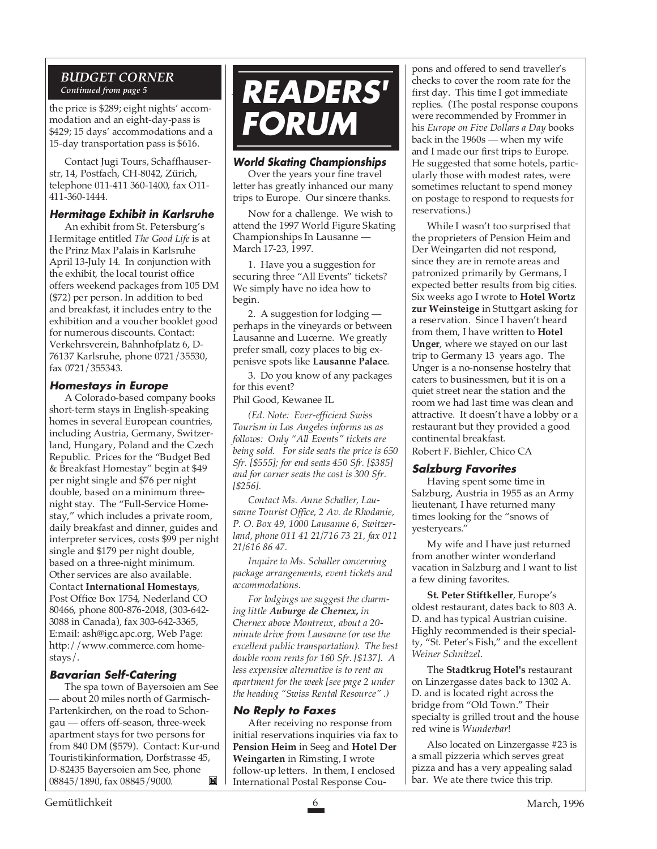#### *BUDGET CORNER Continued from page 5*

the price is \$289; eight nights' accommodation and an eight-day-pass is \$429; 15 days' accommodations and a 15-day transportation pass is \$616.

Contact Jugi Tours, Schaffhauserstr, 14, Postfach, CH-8042, Zürich, telephone 011-411 360-1400, fax O11- 411-360-1444.

#### **Hermitage Exhibit in Karlsruhe**

An exhibit from St. Petersburg's Hermitage entitled *The Good Life* is at the Prinz Max Palais in Karlsruhe April 13-July 14. In conjunction with the exhibit, the local tourist office offers weekend packages from 105 DM (\$72) per person. In addition to bed and breakfast, it includes entry to the exhibition and a voucher booklet good for numerous discounts. Contact: Verkehrsverein, Bahnhofplatz 6, D-76137 Karlsruhe, phone 0721/35530, fax 0721/355343.

#### **Homestays in Europe**

A Colorado-based company books short-term stays in English-speaking homes in several European countries, including Austria, Germany, Switzerland, Hungary, Poland and the Czech Republic. Prices for the "Budget Bed & Breakfast Homestay" begin at \$49 per night single and \$76 per night double, based on a minimum threenight stay. The "Full-Service Homestay," which includes a private room, daily breakfast and dinner, guides and interpreter services, costs \$99 per night single and \$179 per night double, based on a three-night minimum. Other services are also available. Contact **International Homestays**, Post Office Box 1754, Nederland CO 80466, phone 800-876-2048, (303-642- 3088 in Canada), fax 303-642-3365, E:mail: ash@igc.apc.org, Web Page: http://www.commerce.com homestays/.

#### **Bavarian Self-Catering**

The spa town of Bayersoien am See — about 20 miles north of Garmisch-Partenkirchen, on the road to Schongau — offers off-season, three-week apartment stays for two persons for from 840 DM (\$579). Contact: Kur-und Touristikinformation, Dorfstrasse 45, D-82435 Bayersoien am See, phone 08845/1890, fax 08845/9000. M



#### **World Skating Championships**

Over the years your fine travel letter has greatly inhanced our many trips to Europe. Our sincere thanks.

Now for a challenge. We wish to attend the 1997 World Figure Skating Championships In Lausanne — March 17-23, 1997.

1. Have you a suggestion for securing three "All Events" tickets? We simply have no idea how to begin.

2. A suggestion for lodging perhaps in the vineyards or between Lausanne and Lucerne. We greatly prefer small, cozy places to big expenisve spots like **Lausanne Palace**.

3. Do you know of any packages for this event?

Phil Good, Kewanee IL

*(Ed. Note: Ever-efficient Swiss Tourism in Los Angeles informs us as follows: Only "All Events" tickets are being sold. For side seats the price is 650 Sfr. [\$555]; for end seats 450 Sfr. [\$385] and for corner seats the cost is 300 Sfr. [\$256].*

*Contact Ms. Anne Schaller, Lausanne Tourist Office, 2 Av. de Rhodanie, P. O. Box 49, 1000 Lausanne 6, Switzerland, phone 011 41 21/716 73 21, fax 011 21/616 86 47.*

*Inquire to Ms. Schaller concerning package arrangements, event tickets and accommodations.*

*For lodgings we suggest the charming little Auburge de Chernex, in Chernex above Montreux, about a 20 minute drive from Lausanne (or use the excellent public transportation). The best double room rents for 160 Sfr. [\$137]. A less expensive alternative is to rent an apartment for the week [see page 2 under the heading "Swiss Rental Resource" .)*

#### **No Reply to Faxes**

After receiving no response from initial reservations inquiries via fax to **Pension Heim** in Seeg and **Hotel Der Weingarten** in Rimsting, I wrote follow-up letters. In them, I enclosed International Postal Response Coupons and offered to send traveller's checks to cover the room rate for the first day. This time I got immediate replies. (The postal response coupons were recommended by Frommer in his *Europe on Five Dollars a Day* books back in the 1960s — when my wife and I made our first trips to Europe. He suggested that some hotels, particularly those with modest rates, were sometimes reluctant to spend money on postage to respond to requests for reservations.)

While I wasn't too surprised that the proprieters of Pension Heim and Der Weingarten did not respond, since they are in remote areas and patronized primarily by Germans, I expected better results from big cities. Six weeks ago I wrote to **Hotel Wortz zur Weinsteige** in Stuttgart asking for a reservation. Since I haven't heard from them, I have written to **Hotel Unger**, where we stayed on our last trip to Germany 13 years ago. The Unger is a no-nonsense hostelry that caters to businessmen, but it is on a quiet street near the station and the room we had last time was clean and attractive. It doesn't have a lobby or a restaurant but they provided a good continental breakfast.

Robert F. Biehler, Chico CA

#### **Salzburg Favorites**

Having spent some time in Salzburg, Austria in 1955 as an Army lieutenant, I have returned many times looking for the "snows of yesteryears."

My wife and I have just returned from another winter wonderland vacation in Salzburg and I want to list a few dining favorites.

**St. Peter Stiftkeller**, Europe's oldest restaurant, dates back to 803 A. D. and has typical Austrian cuisine. Highly recommended is their specialty, "St. Peter's Fish," and the excellent *Weiner Schnitzel*.

The **Stadtkrug Hotel's** restaurant on Linzergasse dates back to 1302 A. D. and is located right across the bridge from "Old Town." Their specialty is grilled trout and the house red wine is *Wunderbar*!

Also located on Linzergasse #23 is a small pizzeria which serves great pizza and has a very appealing salad bar. We ate there twice this trip.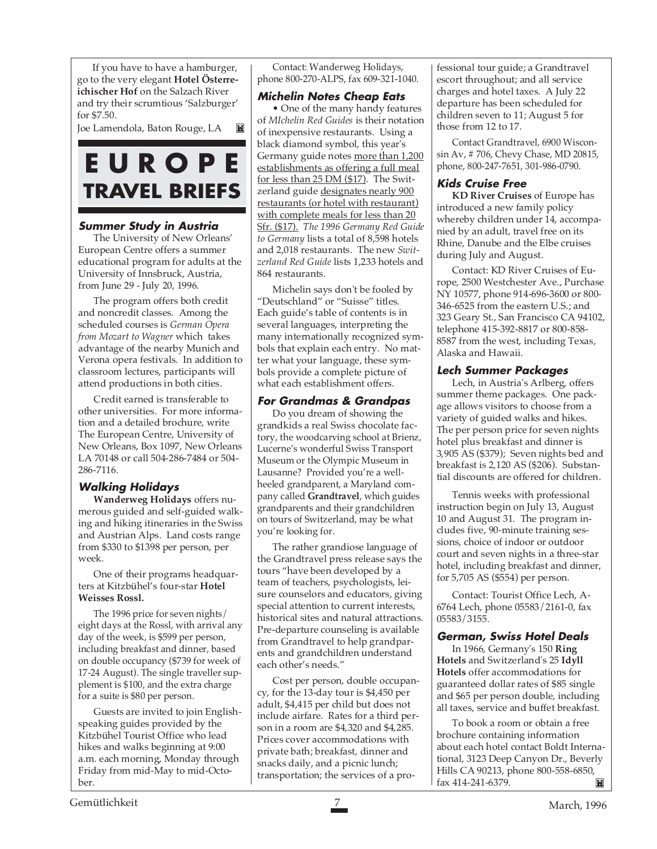If you have to have a hamburger, go to the very elegant **Hotel Österreichischer Hof** on the Salzach River and try their scrumtious 'Salzburger' for \$7.50.

Joe Lamendola, Baton Rouge, LA

## **E U R O P E TRAVEL BRIEFS**

#### **Summer Study in Austria**

The University of New Orleans' European Centre offers a summer educational program for adults at the University of Innsbruck, Austria, from June 29 - July 20, 1996.

The program offers both credit and noncredit classes. Among the scheduled courses is *German Opera from Mozart to Wagner* which takes advantage of the nearby Munich and Verona opera festivals. In addition to classroom lectures, participants will attend productions in both cities.

Credit earned is transferable to other universities. For more information and a detailed brochure, write The European Centre, University of New Orleans, Box 1097, New Orleans LA 70148 or call 504-286-7484 or 504- 286-7116.

#### **Walking Holidays**

**Wanderweg Holidays** offers numerous guided and self-guided walking and hiking itineraries in the Swiss and Austrian Alps. Land costs range from \$330 to \$1398 per person, per week.

One of their programs headquarters at Kitzbühel's four-star **Hotel Weisses Rossl.**

The 1996 price for seven nights/ eight days at the Rossl, with arrival any day of the week, is \$599 per person, including breakfast and dinner, based on double occupancy (\$739 for week of 17-24 August). The single traveller supplement is \$100, and the extra charge for a suite is \$80 per person.

Guests are invited to join Englishspeaking guides provided by the Kitzbühel Tourist Office who lead hikes and walks beginning at 9:00 a.m. each morning, Monday through Friday from mid-May to mid-October.

Contact: Wanderweg Holidays, phone 800-270-ALPS, fax 609-321-1040.

#### **Michelin Notes Cheap Eats**

• One of the many handy features of *MIchelin Red Guides* is their notation of inexpensive restaurants. Using a black diamond symbol, this year's Germany guide notes more than 1,200 establishments as offering a full meal for less than 25 DM (\$17).The Switzerland guide designates nearly 900 restaurants (or hotel with restaurant) with complete meals for less than 20 Sfr. (\$17). *The 1996 Germany Red Guide to Germany* lists a total of 8,598 hotels and 2,018 restaurants. The new *Switzerland Red Guide* lists 1,233 hotels and 864 restaurants.

Michelin says don't be fooled by "Deutschland" or "Suisse" titles. Each guide's table of contents is in several languages, interpreting the many internationally recognized symbols that explain each entry. No matter what your language, these symbols provide a complete picture of what each establishment offers.

#### **For Grandmas & Grandpas**

Do you dream of showing the grandkids a real Swiss chocolate factory, the woodcarving school at Brienz, Lucerne's wonderful Swiss Transport Museum or the Olympic Museum in Lausanne? Provided you're a wellheeled grandparent, a Maryland company called **Grandtravel**, which guides grandparents and their grandchildren on tours of Switzerland, may be what you're looking for.

The rather grandiose language of the Grandtravel press release says the tours "have been developed by a team of teachers, psychologists, leisure counselors and educators, giving special attention to current interests, historical sites and natural attractions. Pre-departure counseling is available from Grandtravel to help grandparents and grandchildren understand each other's needs."

Cost per person, double occupancy, for the 13-day tour is \$4,450 per adult, \$4,415 per child but does not include airfare. Rates for a third person in a room are \$4,320 and \$4,285. Prices cover accommodations with private bath; breakfast, dinner and snacks daily, and a picnic lunch; transportation; the services of a professional tour guide; a Grandtravel escort throughout; and all service charges and hotel taxes. A July 22 departure has been scheduled for children seven to 11; August 5 for those from 12 to 17.

Contact Grandtravel, 6900 Wisconsin Av, # 706, Chevy Chase, MD 20815, phone, 800-247-7651, 301-986-0790.

#### **Kids Cruise Free**

**KD River Cruises** of Europe has introduced a new family policy whereby children under 14, accompanied by an adult, travel free on its Rhine, Danube and the Elbe cruises during July and August.

Contact: KD River Cruises of Europe, 2500 Westchester Ave., Purchase NY 10577, phone 914-696-3600 or 800- 346-6525 from the eastern U.S.; and 323 Geary St., San Francisco CA 94102, telephone 415-392-8817 or 800-858- 8587 from the west, including Texas, Alaska and Hawaii.

#### **Lech Summer Packages**

Lech, in Austria's Arlberg, offers summer theme packages. One package allows visitors to choose from a variety of guided walks and hikes. The per person price for seven nights hotel plus breakfast and dinner is 3,905 AS (\$379); Seven nights bed and breakfast is 2,120 AS (\$206). Substantial discounts are offered for children.

Tennis weeks with professional instruction begin on July 13, August 10 and August 31. The program includes five, 90-minute training sessions, choice of indoor or outdoor court and seven nights in a three-star hotel, including breakfast and dinner, for 5,705 AS (\$554) per person.

Contact: Tourist Office Lech, A-6764 Lech, phone 05583/2161-0, fax 05583/3155.

#### **German, Swiss Hotel Deals**

In 1966, Germany's 150 **Ring Hotels** and Switzerland's 25 **Idyll Hotels** offer accommodations for guaranteed dollar rates of \$85 single and \$65 per person double, including all taxes, service and buffet breakfast.

To book a room or obtain a free brochure containing information about each hotel contact Boldt International, 3123 Deep Canyon Dr., Beverly Hills CA 90213, phone 800-558-6850, fax 414-241-6379. M